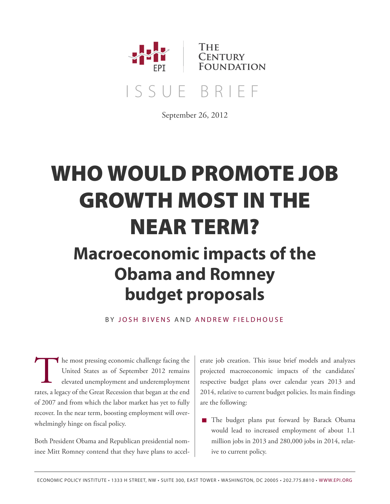

September 26, 2012

# **WHO WOULD PROMOTE JOB GROWTH MOST IN THE NEAR TERM?**

## **Macroeconomic impacts of the Obama and Romney budget proposals**

BY JOS[H B](http://www.epi.org/people/josh-bivens/)IVENS AND ANDRE[W F](http://www.epi.org/people/andrew-fieldhouse/)IFLDHOUSE

The most pressing economic challenge facing the<br>United States as of September 2012 remains<br>elevated unemployment and underemployment<br>rates, a legacy of the Great Recession that began at the end he most pressing economic challenge facing the United States as of September 2012 remains elevated unemployment and underemployment of 2007 and from which the labor market has yet to fully recover. In the near term, boosting employment will overwhelmingly hinge on fiscal policy.

Both President Obama and Republican presidential nominee Mitt Romney contend that they have plans to accelerate job creation. This issue brief models and analyzes projected macroeconomic impacts of the candidates' respective budget plans over calendar years 2013 and 2014, relative to current budget policies. Its main findings are the following:

■ The budget plans put forward by Barack Obama would lead to increased employment of about 1.1 million jobs in 2013 and 280,000 jobs in 2014, relative to current policy.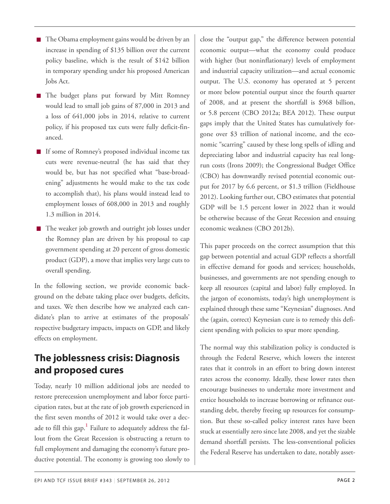- The Obama employment gains would be driven by an increase in spending of \$135 billion over the current policy baseline, which is the result of \$142 billion in temporary spending under his proposed American Jobs Act.
- The budget plans put forward by Mitt Romney would lead to small job gains of 87,000 in 2013 and a loss of 641,000 jobs in 2014, relative to current policy, if his proposed tax cuts were fully deficit-financed.
- If some of Romney's proposed individual income tax cuts were revenue-neutral (he has said that they would be, but has not specified what "base-broadening" adjustments he would make to the tax code to accomplish that), his plans would instead lead to employment losses of 608,000 in 2013 and roughly 1.3 million in 2014.
- The weaker job growth and outright job losses under the Romney plan are driven by his proposal to cap government spending at 20 percent of gross domestic product (GDP), a move that implies very large cuts to overall spending.

In the following section, we provide economic background on the debate taking place over budgets, deficits, and taxes. We then describe how we analyzed each candidate's plan to arrive at estimates of the proposals' respective budgetary impacts, impacts on GDP, and likely effects on employment.

## **The joblessness crisis: Diagnosis and proposed cures**

<span id="page-1-0"></span>Today, nearly 10 million additional jobs are needed to restore prerecession unemployment and labor force participation rates, but at the rate of job growth experienced in the first seven months of 2012 it would take over a decade to fill this gap. **[1](#page-15-0)** Failure to adequately address the fallout from the Great Recession is obstructing a return to full employment and damaging the economy's future productive potential. The economy is growing too slowly to close the "output gap," the difference between potential economic output—what the economy could produce with higher (but noninflationary) levels of employment and industrial capacity utilization—and actual economic output. The U.S. economy has operated at 5 percent or more below potential output since the fourth quarter of 2008, and at present the shortfall is \$968 billion, or 5.8 percent (CBO 2012a; BEA 2012). These output gaps imply that the United States has cumulatively forgone over \$3 trillion of national income, and the economic "scarring" caused by these long spells of idling and depreciating labor and industrial capacity has real longrun costs (Irons 2009); the Congressional Budget Office (CBO) has downwardly revised potential economic output for 2017 by 6.6 percent, or \$1.3 trillion (Fieldhouse 2012). Looking further out, CBO estimates that potential GDP will be 1.5 percent lower in 2022 than it would be otherwise because of the Great Recession and ensuing economic weakness (CBO 2012b).

This paper proceeds on the correct assumption that this gap between potential and actual GDP reflects a shortfall in effective demand for goods and services; households, businesses, and governments are not spending enough to keep all resources (capital and labor) fully employed. In the jargon of economists, today's high unemployment is explained through these same "Keynesian" diagnoses. And the (again, correct) Keynesian cure is to remedy this deficient spending with policies to spur more spending.

The normal way this stabilization policy is conducted is through the Federal Reserve, which lowers the interest rates that it controls in an effort to bring down interest rates across the economy. Ideally, these lower rates then encourage businesses to undertake more investment and entice households to increase borrowing or refinance outstanding debt, thereby freeing up resources for consumption. But these so-called policy interest rates have been stuck at essentially zero since late 2008, and yet the sizable demand shortfall persists. The less-conventional policies the Federal Reserve has undertaken to date, notably asset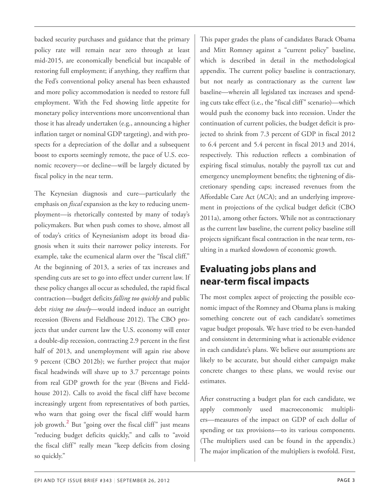backed security purchases and guidance that the primary policy rate will remain near zero through at least mid-2015, are economically beneficial but incapable of restoring full employment; if anything, they reaffirm that the Fed's conventional policy arsenal has been exhausted and more policy accommodation is needed to restore full employment. With the Fed showing little appetite for monetary policy interventions more unconventional than those it has already undertaken (e.g., announcing a higher inflation target or nominal GDP targeting), and with prospects for a depreciation of the dollar and a subsequent boost to exports seemingly remote, the pace of U.S. economic recovery—or decline—will be largely dictated by fiscal policy in the near term.

The Keynesian diagnosis and cure—particularly the emphasis on *fiscal* expansion as the key to reducing unemployment—is rhetorically contested by many of today's policymakers. But when push comes to shove, almost all of today's critics of Keynesianism adopt its broad diagnosis when it suits their narrower policy interests. For example, take the ecumenical alarm over the "fiscal cliff." At the beginning of 2013, a series of tax increases and spending cuts are set to go into effect under current law. If these policy changes all occur as scheduled, the rapid fiscal contraction—budget deficits *falling too quickly* and public debt *rising too slowly*—would indeed induce an outright recession (Bivens and Fieldhouse 2012). The CBO projects that under current law the U.S. economy will enter a double-dip recession, contracting 2.9 percent in the first half of 2013, and unemployment will again rise above 9 percent (CBO 2012b); we further project that major fiscal headwinds will shave up to 3.7 percentage points from real GDP growth for the year (Bivens and Fieldhouse 2012). Calls to avoid the fiscal cliff have become increasingly urgent from representatives of both parties, who warn that going over the fiscal cliff would harm job growth.<sup>[2](#page-15-1)</sup> But "going over the fiscal cliff" just means "reducing budget deficits quickly," and calls to "avoid the fiscal cliff" really mean "keep deficits from closing so quickly."

This paper grades the plans of candidates Barack Obama and Mitt Romney against a "current policy" baseline, which is described in detail in the methodological appendix. The current policy baseline is contractionary, but not nearly as contractionary as the current law baseline—wherein all legislated tax increases and spending cuts take effect (i.e., the "fiscal cliff" scenario)—which would push the economy back into recession. Under the continuation of current policies, the budget deficit is projected to shrink from 7.3 percent of GDP in fiscal 2012 to 6.4 percent and 5.4 percent in fiscal 2013 and 2014, respectively. This reduction reflects a combination of expiring fiscal stimulus, notably the payroll tax cut and emergency unemployment benefits; the tightening of discretionary spending caps; increased revenues from the Affordable Care Act (ACA); and an underlying improvement in projections of the cyclical budget deficit (CBO 2011a), among other factors. While not as contractionary as the current law baseline, the current policy baseline still projects significant fiscal contraction in the near term, resulting in a marked slowdown of economic growth.

## **Evaluating jobs plans and near-term fiscal impacts**

The most complex aspect of projecting the possible economic impact of the Romney and Obama plans is making something concrete out of each candidate's sometimes vague budget proposals. We have tried to be even-handed and consistent in determining what is actionable evidence in each candidate's plans. We believe our assumptions are likely to be accurate, but should either campaign make concrete changes to these plans, we would revise our estimates.

<span id="page-2-0"></span>After constructing a budget plan for each candidate, we apply commonly used macroeconomic multipliers—measures of the impact on GDP of each dollar of spending or tax provisions—to its various components. (The multipliers used can be found in the appendix.) The major implication of the multipliers is twofold. First,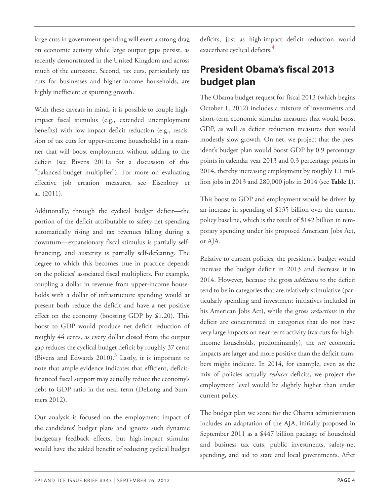<span id="page-3-1"></span>large cuts in government spending will exert a strong drag on economic activity while large output gaps persist, as recently demonstrated in the United Kingdom and across much of the eurozone. Second, tax cuts, particularly tax cuts for businesses and higher-income households, are highly inefficient at spurring growth.

With these caveats in mind, it is possible to couple highimpact fiscal stimulus (e.g., extended unemployment benefits) with low-impact deficit reduction (e.g., rescission of tax cuts for upper-income households) in a manner that will boost employment without adding to the deficit (see Bivens 2011a for a discussion of this "balanced-budget multiplier"). For more on evaluating effective job creation measures, see Eisenbrey et al. (2011).

Additionally, through the cyclical budget deficit—the portion of the deficit attributable to safety-net spending automatically rising and tax revenues falling during a downturn—expansionary fiscal stimulus is partially selffinancing, and austerity is partially self-defeating. The degree to which this becomes true in practice depends on the policies' associated fiscal multipliers. For example, coupling a dollar in revenue from upper-income households with a dollar of infrastructure spending would at present both reduce the deficit and have a net positive effect on the economy (boosting GDP by \$1.20). This boost to GDP would produce net deficit reduction of roughly 44 cents, as every dollar closed from the output gap reduces the cyclical budget deficit by roughly 37 cents (Bivens and Edwards 2010).**[3](#page-15-2)** Lastly, it is important to note that ample evidence indicates that efficient, deficitfinanced fiscal support may actually reduce the economy's debt-to-GDP ratio in the near term (DeLong and Summers 2012).

<span id="page-3-0"></span>Our analysis is focused on the employment impact of the candidates' budget plans and ignores such dynamic budgetary feedback effects, but high-impact stimulus would have the added benefit of reducing cyclical budget

deficits, just as high-impact deficit reduction would exacerbate cyclical deficits. **[4](#page-15-3)**

## **President Obama's fiscal 2013 budget plan**

The Obama budget request for fiscal 2013 (which begins October 1, 2012) includes a mixture of investments and short-term economic stimulus measures that would boost GDP, as well as deficit reduction measures that would modestly slow growth. On net, we project that the president's budget plan would boost GDP by 0.9 percentage points in calendar year 2013 and 0.3 percentage points in 2014, thereby increasing employment by roughly 1.1 million jobs in 2013 and 280,000 jobs in 2014 (see **Table 1**).

This boost to GDP and employment would be driven by an increase in spending of \$135 billion over the current policy baseline, which is the result of \$142 billion in temporary spending under his proposed American Jobs Act, or AJA.

Relative to current policies, the president's budget would increase the budget deficit in 2013 and decrease it in 2014. However, because the gross *additions* to the deficit tend to be in categories that are relatively stimulative (particularly spending and investment initiatives included in his American Jobs Act), while the gross *reductions* in the deficit are concentrated in categories that do not have very large impacts on near-term activity (tax cuts for highincome households, predominantly), the *net* economic impacts are larger and more positive than the deficit numbers might indicate. In 2014, for example, even as the mix of policies actually *reduces* deficits, we project the employment level would be slightly higher than under current policy.

The budget plan we score for the Obama administration includes an adaptation of the AJA, initially proposed in September 2011 as a \$447 billion package of household and business tax cuts, public investments, safety-net spending, and aid to state and local governments. After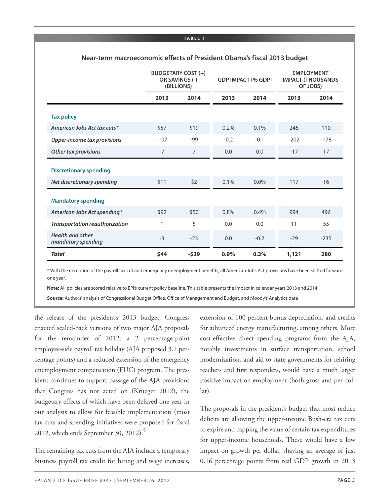**TA B L E 1**

|                                               |        | <b>BUDGETARY COST (+)</b><br>OR SAVINGS (-)<br>(BILLIONS) |        | <b>GDP IMPACT (% GDP)</b> |        | <b>EMPLOYMENT</b><br><b>IMPACT (THOUSANDS</b><br>OF JOBS) |  |
|-----------------------------------------------|--------|-----------------------------------------------------------|--------|---------------------------|--------|-----------------------------------------------------------|--|
|                                               | 2013   | 2014                                                      | 2013   | 2014                      | 2013   | 2014                                                      |  |
| <b>Tax policy</b>                             |        |                                                           |        |                           |        |                                                           |  |
| American Jobs Act tax cuts*                   | \$57   | \$19                                                      | 0.2%   | 0.1%                      | 246    | 110                                                       |  |
| Upper-income tax provisions                   | $-107$ | -99                                                       | $-0.2$ | $-0.1$                    | $-202$ | $-178$                                                    |  |
| Other tax provisions                          | $-7$   | $\overline{7}$                                            | 0.0    | 0.0                       | $-17$  | 17                                                        |  |
| <b>Discretionary spending</b>                 |        |                                                           |        |                           |        |                                                           |  |
| Net discretionary spending                    | \$11   | 52                                                        | 0.1%   | 0.0%                      | 117    | 16                                                        |  |
| <b>Mandatory spending</b>                     |        |                                                           |        |                           |        |                                                           |  |
| American Jobs Act spending*                   | \$92   | \$50                                                      | 0.8%   | 0.4%                      | 994    | 496                                                       |  |
| Transportation reauthorization                | 1      | 5                                                         | 0.0    | 0.0                       | 11     | 55                                                        |  |
| <b>Health and other</b><br>mandatory spending | $-3$   | $-23$                                                     | 0.0    | $-0.2$                    | $-29$  | $-235$                                                    |  |
| <b>Total</b>                                  | \$44   | $-539$                                                    | 0.9%   | 0.3%                      | 1,121  | 280                                                       |  |

#### **Near-term macroeconomic effects of President Obama's fiscal 2013 budget**

\* With the exception of the payroll tax cut and emergency unemployment benefits, all American Jobs Act provisions have been shifted forward one year.

**Note:** All policies are scored relative to EPI's current policy baseline. This table presents the impact in calendar years 2013 and 2014.

**Source:** Authors' analysis of Congressional Budget Office, Office of Management and Budget, and Moody's Analytics data

the release of the president's 2013 budget, Congress enacted scaled-back versions of two major AJA proposals for the remainder of 2012: a 2 percentage-point employee-side payroll tax holiday (AJA proposed 3.1 percentage points) and a reduced extension of the emergency unemployment compensation (EUC) program. The president continues to support passage of the AJA provisions that Congress has not acted on (Krueger 2012), the budgetary effects of which have been delayed one year in our analysis to allow for feasible implementation (most tax cuts and spending initiatives were proposed for fiscal 2012, which ends September 30, 2012).**[5](#page-15-4)**

<span id="page-4-0"></span>The remaining tax cuts from the AJA include a temporary business payroll tax credit for hiring and wage increases,

extension of 100 percent bonus depreciation, and credits for advanced energy manufacturing, among others. More cost-effective direct spending programs from the AJA, notably investments in surface transportation, school modernization, and aid to state governments for rehiring teachers and first responders, would have a much larger positive impact on employment (both gross and per dollar).

The proposals in the president's budget that most reduce deficits are allowing the upper-income Bush-era tax cuts to expire and capping the value of certain tax expenditures for upper-income households. These would have a low impact on growth per dollar, shaving an average of just 0.16 percentage points from real GDP growth in 2013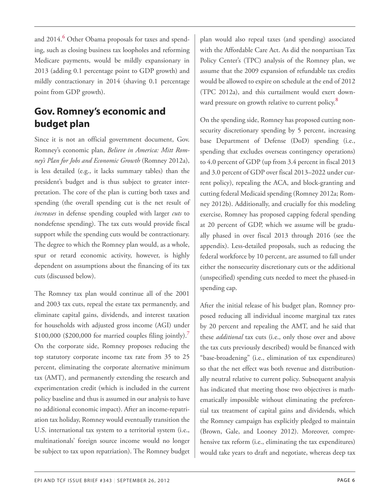<span id="page-5-0"></span>and 2014.**[6](#page-15-5)** Other Obama proposals for taxes and spending, such as closing business tax loopholes and reforming Medicare payments, would be mildly expansionary in 2013 (adding 0.1 percentage point to GDP growth) and mildly contractionary in 2014 (shaving 0.1 percentage point from GDP growth).

## <span id="page-5-2"></span>**Gov. Romney's economic and budget plan**

Since it is not an official government document, Gov. Romney's economic plan, *Believe in America: Mitt Romney's Plan for Jobs and Economic Growth* (Romney 2012a), is less detailed (e.g., it lacks summary tables) than the president's budget and is thus subject to greater interpretation. The core of the plan is cutting both taxes and spending (the overall spending cut is the net result of *increases* in defense spending coupled with larger *cuts* to nondefense spending). The tax cuts would provide fiscal support while the spending cuts would be contractionary. The degree to which the Romney plan would, as a whole, spur or retard economic activity, however, is highly dependent on assumptions about the financing of its tax cuts (discussed below).

<span id="page-5-1"></span>The Romney tax plan would continue all of the 2001 and 2003 tax cuts, repeal the estate tax permanently, and eliminate capital gains, dividends, and interest taxation for households with adjusted gross income (AGI) under \$100,000 (\$200,000 for married couples filing jointly).**[7](#page-15-6)** On the corporate side, Romney proposes reducing the top statutory corporate income tax rate from 35 to 25 percent, eliminating the corporate alternative minimum tax (AMT), and permanently extending the research and experimentation credit (which is included in the current policy baseline and thus is assumed in our analysis to have no additional economic impact). After an income-repatriation tax holiday, Romney would eventually transition the U.S. international tax system to a territorial system (i.e., multinationals' foreign source income would no longer be subject to tax upon repatriation). The Romney budget

plan would also repeal taxes (and spending) associated with the Affordable Care Act. As did the nonpartisan Tax Policy Center's (TPC) analysis of the Romney plan, we assume that the 2009 expansion of refundable tax credits would be allowed to expire on schedule at the end of 2012 (TPC 2012a), and this curtailment would exert downward pressure on growth relative to current policy. **[8](#page-16-0)**

On the spending side, Romney has proposed cutting nonsecurity discretionary spending by 5 percent, increasing base Department of Defense (DoD) spending (i.e., spending that excludes overseas contingency operations) to 4.0 percent of GDP (up from 3.4 percent in fiscal 2013 and 3.0 percent of GDP over fiscal 2013–2022 under current policy), repealing the ACA, and block-granting and cutting federal Medicaid spending (Romney 2012a; Romney 2012b). Additionally, and crucially for this modeling exercise, Romney has proposed capping federal spending at 20 percent of GDP, which we assume will be gradually phased in over fiscal 2013 through 2016 (see the appendix). Less-detailed proposals, such as reducing the federal workforce by 10 percent, are assumed to fall under either the nonsecurity discretionary cuts or the additional (unspecified) spending cuts needed to meet the phased-in spending cap.

After the initial release of his budget plan, Romney proposed reducing all individual income marginal tax rates by 20 percent and repealing the AMT, and he said that these *additional* tax cuts (i.e., only those over and above the tax cuts previously described) would be financed with "base-broadening" (i.e., elimination of tax expenditures) so that the net effect was both revenue and distributionally neutral relative to current policy. Subsequent analysis has indicated that meeting those two objectives is mathematically impossible without eliminating the preferential tax treatment of capital gains and dividends, which the Romney campaign has explicitly pledged to maintain (Brown, Gale, and Looney 2012). Moreover, comprehensive tax reform (i.e., eliminating the tax expenditures) would take years to draft and negotiate, whereas deep tax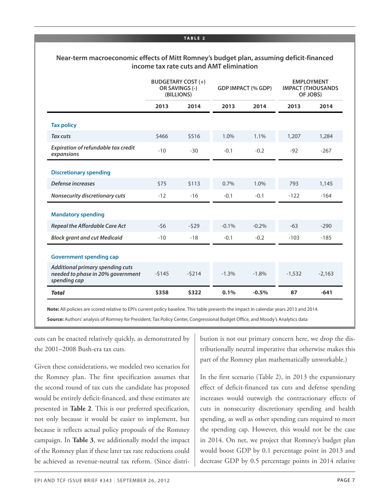#### **TA B L E 2**

#### **Near-term macroeconomic effects of Mitt Romney's budget plan, assuming deficit-financed income tax rate cuts and AMT elimination**

|                                                                                       | <b>BUDGETARY COST (+)</b><br>OR SAVINGS (-)<br>(BILLIONS) |         | <b>GDP IMPACT (% GDP)</b> |         | <b>EMPLOYMENT</b><br><b>IMPACT (THOUSANDS</b><br>OF JOBS) |          |
|---------------------------------------------------------------------------------------|-----------------------------------------------------------|---------|---------------------------|---------|-----------------------------------------------------------|----------|
|                                                                                       | 2013                                                      | 2014    | 2013                      | 2014    | 2013                                                      | 2014     |
| <b>Tax policy</b>                                                                     |                                                           |         |                           |         |                                                           |          |
| <b>Tax cuts</b>                                                                       | \$466                                                     | \$516   | 1.0%                      | 1.1%    | 1,207                                                     | 1,284    |
| Expiration of refundable tax credit<br>expansions                                     | $-10$                                                     | $-30$   | $-0.1$                    | $-0.2$  | $-92$                                                     | $-267$   |
| <b>Discretionary spending</b>                                                         |                                                           |         |                           |         |                                                           |          |
| Defense increases                                                                     | \$75                                                      | \$113   | 0.7%                      | 1.0%    | 793                                                       | 1,145    |
| Nonsecurity discretionary cuts                                                        | $-12$                                                     | $-16$   | $-0.1$                    | $-0.1$  | $-122$                                                    | $-164$   |
| <b>Mandatory spending</b>                                                             |                                                           |         |                           |         |                                                           |          |
| <b>Repeal the Affordable Care Act</b>                                                 | $-56$                                                     | $-529$  | $-0.1%$                   | $-0.2%$ | $-63$                                                     | $-290$   |
| <b>Block grant and cut Medicaid</b>                                                   | $-10$                                                     | $-18$   | $-0.1$                    | $-0.2$  | $-103$                                                    | $-185$   |
| <b>Government spending cap</b>                                                        |                                                           |         |                           |         |                                                           |          |
| Additional primary spending cuts<br>needed to phase in 20% government<br>spending cap | $-5145$                                                   | $-5214$ | $-1.3%$                   | $-1.8%$ | $-1,532$                                                  | $-2,163$ |
| <b>Total</b>                                                                          | \$358                                                     | \$322   | 0.1%                      | $-0.5%$ | 87                                                        | $-641$   |

**Note:** All policies are scored relative to EPI's current policy baseline. This table presents the impact in calendar years 2013 and 2014.

**Source:** Authors' analysis of Romney for President, Tax Policy Center, Congressional Budget Office, and Moody's Analytics data

cuts can be enacted relatively quickly, as demonstrated by the 2001–2008 Bush-era tax cuts.

Given these considerations, we modeled two scenarios for the Romney plan. The first specification assumes that the second round of tax cuts the candidate has proposed would be entirely deficit-financed, and these estimates are presented in **Table 2**. This is our preferred specification, not only because it would be easier to implement, but because it reflects actual policy proposals of the Romney campaign. In **Table 3**, we additionally model the impact of the Romney plan if these later tax rate reductions could be achieved as revenue-neutral tax reform. (Since distribution is not our primary concern here, we drop the distributionally neutral imperative that otherwise makes this part of the Romney plan mathematically unworkable.)

In the first scenario (Table 2), in 2013 the expansionary effect of deficit-financed tax cuts and defense spending increases would outweigh the contractionary effects of cuts in nonsecurity discretionary spending and health spending, as well as other spending cuts required to meet the spending cap. However, this would not be the case in 2014. On net, we project that Romney's budget plan would boost GDP by 0.1 percentage point in 2013 and decrease GDP by 0.5 percentage points in 2014 relative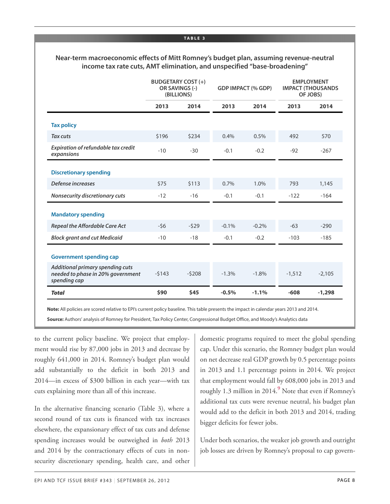#### **TA B L E 3**

#### **Near-term macroeconomic effects of Mitt Romney's budget plan, assuming revenue-neutral income tax rate cuts, AMT elimination, and unspecified "base-broadening"**

|                                                                                       | <b>BUDGETARY COST (+)</b><br>OR SAVINGS (-)<br>(BILLIONS) |         | <b>GDP IMPACT (% GDP)</b> |         | <b>EMPLOYMENT</b><br><b>IMPACT (THOUSANDS</b><br>OF JOBS) |          |
|---------------------------------------------------------------------------------------|-----------------------------------------------------------|---------|---------------------------|---------|-----------------------------------------------------------|----------|
|                                                                                       | 2013                                                      | 2014    | 2013                      | 2014    | 2013                                                      | 2014     |
| <b>Tax policy</b>                                                                     |                                                           |         |                           |         |                                                           |          |
| <b>Tax cuts</b>                                                                       | \$196                                                     | \$234   | 0.4%                      | 0.5%    | 492                                                       | 570      |
| Expiration of refundable tax credit<br>expansions                                     | $-10$                                                     | $-30$   | $-0.1$                    | $-0.2$  | $-92$                                                     | $-267$   |
| <b>Discretionary spending</b>                                                         |                                                           |         |                           |         |                                                           |          |
| Defense increases                                                                     | \$75                                                      | \$113   | 0.7%                      | 1.0%    | 793                                                       | 1,145    |
| Nonsecurity discretionary cuts                                                        | $-12$                                                     | $-16$   | $-0.1$                    | $-0.1$  | $-122$                                                    | $-164$   |
| <b>Mandatory spending</b>                                                             |                                                           |         |                           |         |                                                           |          |
| <b>Repeal the Affordable Care Act</b>                                                 | $-56$                                                     | $-529$  | $-0.1%$                   | $-0.2%$ | $-63$                                                     | $-290$   |
| <b>Block grant and cut Medicaid</b>                                                   | $-10$                                                     | $-18$   | $-0.1$                    | $-0.2$  | $-103$                                                    | $-185$   |
| <b>Government spending cap</b>                                                        |                                                           |         |                           |         |                                                           |          |
| Additional primary spending cuts<br>needed to phase in 20% government<br>spending cap | $-5143$                                                   | $-5208$ | $-1.3%$                   | $-1.8%$ | $-1,512$                                                  | $-2,105$ |
| <b>Total</b>                                                                          | \$90                                                      | \$45    | $-0.5%$                   | $-1.1%$ | $-608$                                                    | $-1,298$ |

**Note:** All policies are scored relative to EPI's current policy baseline. This table presents the impact in calendar years 2013 and 2014.

**Source:** Authors' analysis of Romney for President, Tax Policy Center, Congressional Budget Office, and Moody's Analytics data

to the current policy baseline. We project that employment would rise by 87,000 jobs in 2013 and decrease by roughly 641,000 in 2014. Romney's budget plan would add substantially to the deficit in both 2013 and 2014—in excess of \$300 billion in each year—with tax cuts explaining more than all of this increase.

<span id="page-7-0"></span>In the alternative financing scenario (Table 3), where a second round of tax cuts is financed with tax increases elsewhere, the expansionary effect of tax cuts and defense spending increases would be outweighed in *both* 2013 and 2014 by the contractionary effects of cuts in nonsecurity discretionary spending, health care, and other domestic programs required to meet the global spending cap. Under this scenario, the Romney budget plan would on net decrease real GDP growth by 0.5 percentage points in 2013 and 1.1 percentage points in 2014. We project that employment would fall by 608,000 jobs in 2013 and roughly 1.3 million in 2014.**[9](#page-16-1)** Note that even if Romney's additional tax cuts were revenue neutral, his budget plan would add to the deficit in both 2013 and 2014, trading bigger deficits for fewer jobs.

Under both scenarios, the weaker job growth and outright job losses are driven by Romney's proposal to cap govern-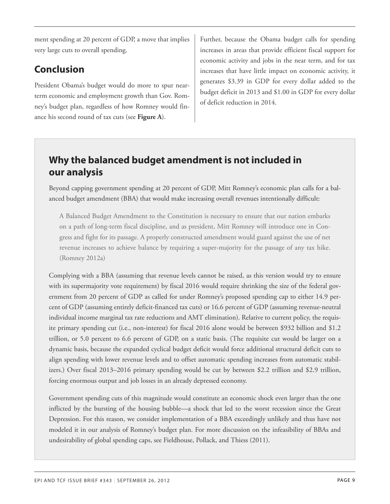ment spending at 20 percent of GDP, a move that implies very large cuts to overall spending.

## **Conclusion**

President Obama's budget would do more to spur nearterm economic and employment growth than Gov. Romney's budget plan, regardless of how Romney would finance his second round of tax cuts (see **Figure A**).

Further, because the Obama budget calls for spending increases in areas that provide efficient fiscal support for economic activity and jobs in the near term, and for tax increases that have little impact on economic activity, it generates \$3.39 in GDP for every dollar added to the budget deficit in 2013 and \$1.00 in GDP for every dollar of deficit reduction in 2014.

## **Why the balanced budget amendment is not included in our analysis**

Beyond capping government spending at 20 percent of GDP, Mitt Romney's economic plan calls for a balanced budget amendment (BBA) that would make increasing overall revenues intentionally difficult:

A Balanced Budget Amendment to the Constitution is necessary to ensure that our nation embarks on a path of long-term fiscal discipline, and as president, Mitt Romney will introduce one in Congress and fight for its passage. A properly constructed amendment would guard against the use of net revenue increases to achieve balance by requiring a super-majority for the passage of any tax hike. (Romney 2012a)

Complying with a BBA (assuming that revenue levels cannot be raised, as this version would try to ensure with its supermajority vote requirement) by fiscal 2016 would require shrinking the size of the federal government from 20 percent of GDP as called for under Romney's proposed spending cap to either 14.9 percent of GDP (assuming entirely deficit-financed tax cuts) or 16.6 percent of GDP (assuming revenue-neutral individual income marginal tax rate reductions and AMT elimination). Relative to current policy, the requisite primary spending cut (i.e., non-interest) for fiscal 2016 alone would be between \$932 billion and \$1.2 trillion, or 5.0 percent to 6.6 percent of GDP, on a static basis. (The requisite cut would be larger on a dynamic basis, because the expanded cyclical budget deficit would force additional structural deficit cuts to align spending with lower revenue levels and to offset automatic spending increases from automatic stabilizers.) Over fiscal 2013–2016 primary spending would be cut by between \$2.2 trillion and \$2.9 trillion, forcing enormous output and job losses in an already depressed economy.

Government spending cuts of this magnitude would constitute an economic shock even larger than the one inflicted by the bursting of the housing bubble—a shock that led to the worst recession since the Great Depression. For this reason, we consider implementation of a BBA exceedingly unlikely and thus have not modeled it in our analysis of Romney's budget plan. For more discussion on the infeasibility of BBAs and undesirability of global spending caps, see Fieldhouse, Pollack, and Thiess (2011).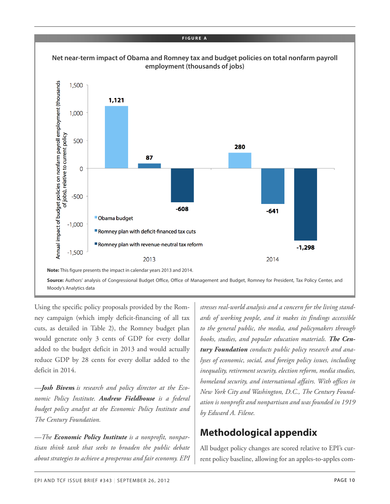

Using the specific policy proposals provided by the Romney campaign (which imply deficit-financing of all tax cuts, as detailed in Table 2), the Romney budget plan would generate only 3 cents of GDP for every dollar added to the budget deficit in 2013 and would actually reduce GDP by 28 cents for every dollar added to the deficit in 2014.

*—Josh Biven***s** *is research and policy director at the Economic Policy Institute. Andrew Fieldhouse is a federal budget policy analyst at the Economic Policy Institute and The Century Foundation.*

*—The Economic Policy Institute is a nonprofit, nonpartisan think tank that seeks to broaden the public debate about strategies to achieve a prosperous and fair economy. EPI* *stresses real-world analysis and a concern for the living standards of working people, and it makes its findings accessible to the general public, the media, and policymakers through books, studies, and popular education materials. The Century Foundation conducts public policy research and analyses of economic, social, and foreign policy issues, including inequality, retirement security, election reform, media studies, homeland security, and international affairs. With offices in New York City and Washington, D.C., The Century Foundation is nonprofit and nonpartisan and was founded in 1919 by Edward A. Filene.*

## **Methodological appendix**

All budget policy changes are scored relative to EPI's current policy baseline, allowing for an apples-to-apples com-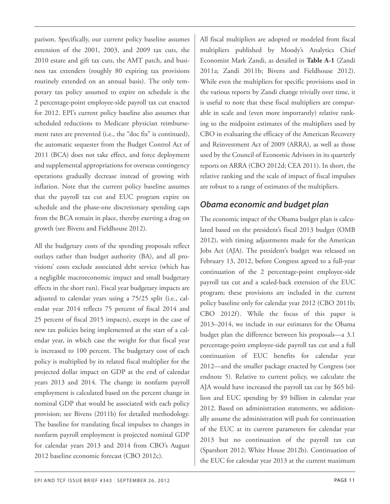parison. Specifically, our current policy baseline assumes extension of the 2001, 2003, and 2009 tax cuts, the 2010 estate and gift tax cuts, the AMT patch, and business tax extenders (roughly 80 expiring tax provisions routinely extended on an annual basis). The only temporary tax policy assumed to expire on schedule is the 2 percentage-point employee-side payroll tax cut enacted for 2012. EPI's current policy baseline also assumes that scheduled reductions to Medicare physician reimbursement rates are prevented (i.e., the "doc fix" is continued), the automatic sequester from the Budget Control Act of 2011 (BCA) does not take effect, and force deployment and supplemental appropriations for overseas contingency operations gradually decrease instead of growing with inflation. Note that the current policy baseline assumes that the payroll tax cut and EUC program expire on schedule and the phase-one discretionary spending caps from the BCA remain in place, thereby exerting a drag on growth (see Bivens and Fieldhouse 2012).

All the budgetary costs of the spending proposals reflect outlays rather than budget authority (BA), and all provisions' costs exclude associated debt service (which has a negligible macroeconomic impact and small budgetary effects in the short run). Fiscal year budgetary impacts are adjusted to calendar years using a 75/25 split (i.e., calendar year 2014 reflects 75 percent of fiscal 2014 and 25 percent of fiscal 2015 impacts), except in the case of new tax policies being implemented at the start of a calendar year, in which case the weight for that fiscal year is increased to 100 percent. The budgetary cost of each policy is multiplied by its related fiscal multiplier for the projected dollar impact on GDP at the end of calendar years 2013 and 2014. The change in nonfarm payroll employment is calculated based on the percent change in nominal GDP that would be associated with each policy provision; see Bivens (2011b) for detailed methodology. The baseline for translating fiscal impulses to changes in nonfarm payroll employment is projected nominal GDP for calendar years 2013 and 2014 from CBO's August 2012 baseline economic forecast (CBO 2012c).

All fiscal multipliers are adopted or modeled from fiscal multipliers published by Moody's Analytics Chief Economist Mark Zandi, as detailed in **Table A-1** (Zandi 2011a; Zandi 2011b; Bivens and Fieldhouse 2012). While even the multipliers for specific provisions used in the various reports by Zandi change trivially over time, it is useful to note that these fiscal multipliers are comparable in scale and (even more importantly) relative ranking to the midpoint estimates of the multipliers used by CBO in evaluating the efficacy of the American Recovery and Reinvestment Act of 2009 (ARRA), as well as those used by the Council of Economic Advisors in its quarterly reports on ARRA (CBO 2012d; CEA 2011). In short, the relative ranking and the scale of impact of fiscal impulses are robust to a range of estimates of the multipliers.

### *Obama economic and budget plan*

The economic impact of the Obama budget plan is calculated based on the president's fiscal 2013 budget (OMB 2012), with timing adjustments made for the American Jobs Act (AJA). The president's budget was released on February 13, 2012, before Congress agreed to a full-year continuation of the 2 percentage-point employee-side payroll tax cut and a scaled-back extension of the EUC program; these provisions are included in the current policy baseline only for calendar year 2012 (CBO 2011b; CBO 2012f). While the focus of this paper is 2013–2014, we include in our estimates for the Obama budget plan the difference between his proposals—a 3.1 percentage-point employee-side payroll tax cut and a full continuation of EUC benefits for calendar year 2012—and the smaller package enacted by Congress (see endnote 5). Relative to current policy, we calculate the AJA would have increased the payroll tax cut by \$65 billion and EUC spending by \$9 billion in calendar year 2012. Based on administration statements, we additionally assume the administration will push for continuation of the EUC at its current parameters for calendar year 2013 but no continuation of the payroll tax cut (Sparshott 2012; White House 2012b). Continuation of the EUC for calendar year 2013 at the current maximum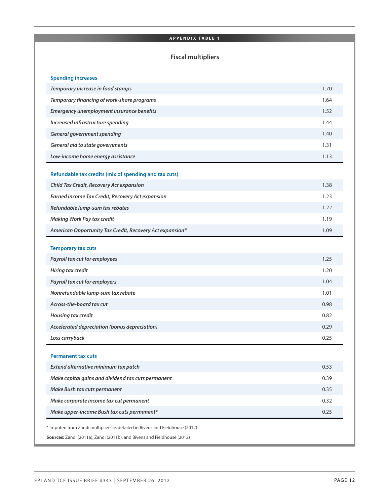#### **A P P E N D I X TA B L E 1**

#### **Fiscal multipliers**

| <b>Spending increases</b>                                |      |
|----------------------------------------------------------|------|
| Temporary increase in food stamps                        | 1.70 |
| Temporary financing of work-share programs               | 1.64 |
| Emergency unemployment insurance benefits                | 1.52 |
| Increased infrastructure spending                        | 1.44 |
| <b>General government spending</b>                       | 1.40 |
| General aid to state governments                         | 1.31 |
| Low-income home energy assistance                        | 1.13 |
| Refundable tax credits (mix of spending and tax cuts)    |      |
| Child Tax Credit, Recovery Act expansion                 | 1.38 |
| <b>Earned Income Tax Credit, Recovery Act expansion</b>  | 1.23 |
| Refundable lump-sum tax rebates                          | 1.22 |
| <b>Making Work Pay tax credit</b>                        | 1.19 |
| American Opportunity Tax Credit, Recovery Act expansion* | 1.09 |
|                                                          |      |
| <b>Temporary tax cuts</b>                                |      |
| Payroll tax cut for employees                            | 1.25 |
| Hiring tax credit                                        | 1.20 |
| Payroll tax cut for employers                            | 1.04 |
| Nonrefundable lump-sum tax rebate                        | 1.01 |
| Across-the-board tax cut                                 | 0.98 |
| Housing tax credit                                       | 0.82 |
| Accelerated depreciation (bonus depreciation)            | 0.29 |
| Loss carryback                                           | 0.25 |
| <b>Permanent tax cuts</b>                                |      |
| Extend alternative minimum tax patch                     | 0.53 |
| Make capital gains and dividend tax cuts permanent       | 0.39 |
| Make Bush tax cuts permanent                             | 0.35 |
| Make corporate income tax cut permanent                  | 0.32 |
|                                                          | 0.25 |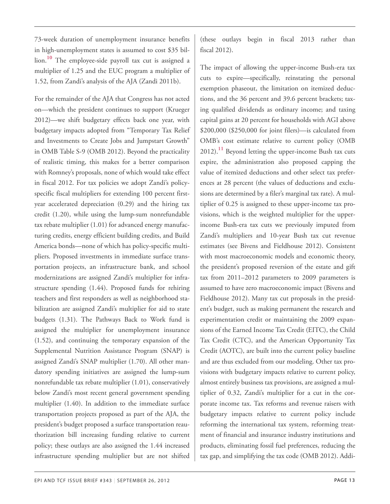<span id="page-12-0"></span>73-week duration of unemployment insurance benefits in high-unemployment states is assumed to cost \$35 billion. **[10](#page-16-2)** The employee-side payroll tax cut is assigned a multiplier of 1.25 and the EUC program a multiplier of 1.52, from Zandi's analysis of the AJA (Zandi 2011b).

<span id="page-12-1"></span>For the remainder of the AJA that Congress has not acted on—which the president continues to support (Krueger 2012)—we shift budgetary effects back one year, with budgetary impacts adopted from "Temporary Tax Relief and Investments to Create Jobs and Jumpstart Growth" in OMB Table S-9 (OMB 2012). Beyond the practicality of realistic timing, this makes for a better comparison with Romney's proposals, none of which would take effect in fiscal 2012. For tax policies we adopt Zandi's policyspecific fiscal multipliers for extending 100 percent firstyear accelerated depreciation (0.29) and the hiring tax credit (1.20), while using the lump-sum nonrefundable tax rebate multiplier (1.01) for advanced energy manufacturing credits, energy efficient building credits, and Build America bonds—none of which has policy-specific multipliers. Proposed investments in immediate surface transportation projects, an infrastructure bank, and school modernizations are assigned Zandi's multiplier for infrastructure spending (1.44). Proposed funds for rehiring teachers and first responders as well as neighborhood stabilization are assigned Zandi's multiplier for aid to state budgets (1.31). The Pathways Back to Work fund is assigned the multiplier for unemployment insurance (1.52), and continuing the temporary expansion of the Supplemental Nutrition Assistance Program (SNAP) is assigned Zandi's SNAP multiplier (1.70). All other mandatory spending initiatives are assigned the lump-sum nonrefundable tax rebate multiplier (1.01), conservatively below Zandi's most recent general government spending multiplier (1.40). In addition to the immediate surface transportation projects proposed as part of the AJA, the president's budget proposed a surface transportation reauthorization bill increasing funding relative to current policy; these outlays are also assigned the 1.44 increased infrastructure spending multiplier but are not shifted

(these outlays begin in fiscal 2013 rather than fiscal 2012).

The impact of allowing the upper-income Bush-era tax cuts to expire—specifically, reinstating the personal exemption phaseout, the limitation on itemized deductions, and the 36 percent and 39.6 percent brackets; taxing qualified dividends as ordinary income; and taxing capital gains at 20 percent for households with AGI above \$200,000 (\$250,000 for joint filers)—is calculated from OMB's cost estimate relative to current policy (OMB 2012).**[11](#page-16-3)** Beyond letting the upper-income Bush tax cuts expire, the administration also proposed capping the value of itemized deductions and other select tax preferences at 28 percent (the values of deductions and exclusions are determined by a filer's marginal tax rate). A multiplier of 0.25 is assigned to these upper-income tax provisions, which is the weighted multiplier for the upperincome Bush-era tax cuts we previously imputed from Zandi's multipliers and 10-year Bush tax cut revenue estimates (see Bivens and Fieldhouse 2012). Consistent with most macroeconomic models and economic theory, the president's proposed reversion of the estate and gift tax from 2011–2012 parameters to 2009 parameters is assumed to have zero macroeconomic impact (Bivens and Fieldhouse 2012). Many tax cut proposals in the president's budget, such as making permanent the research and experimentation credit or maintaining the 2009 expansions of the Earned Income Tax Credit (EITC), the Child Tax Credit (CTC), and the American Opportunity Tax Credit (AOTC), are built into the current policy baseline and are thus excluded from our modeling. Other tax provisions with budgetary impacts relative to current policy, almost entirely business tax provisions, are assigned a multiplier of 0.32, Zandi's multiplier for a cut in the corporate income tax. Tax reforms and revenue raisers with budgetary impacts relative to current policy include reforming the international tax system, reforming treatment of financial and insurance industry institutions and products, eliminating fossil fuel preferences, reducing the tax gap, and simplifying the tax code (OMB 2012). Addi-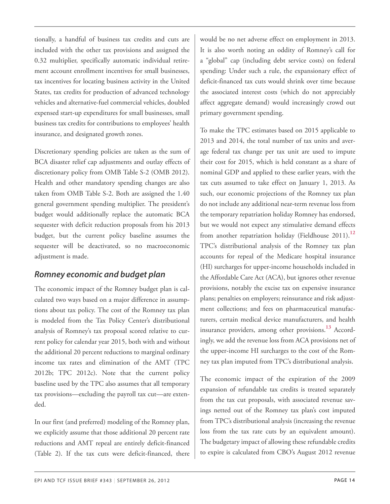tionally, a handful of business tax credits and cuts are included with the other tax provisions and assigned the 0.32 multiplier, specifically automatic individual retirement account enrollment incentives for small businesses, tax incentives for locating business activity in the United States, tax credits for production of advanced technology vehicles and alternative-fuel commercial vehicles, doubled expensed start-up expenditures for small businesses, small business tax credits for contributions to employees' health insurance, and designated growth zones.

Discretionary spending policies are taken as the sum of BCA disaster relief cap adjustments and outlay effects of discretionary policy from OMB Table S-2 (OMB 2012). Health and other mandatory spending changes are also taken from OMB Table S-2. Both are assigned the 1.40 general government spending multiplier. The president's budget would additionally replace the automatic BCA sequester with deficit reduction proposals from his 2013 budget, but the current policy baseline assumes the sequester will be deactivated, so no macroeconomic adjustment is made.

## <span id="page-13-0"></span>*Romney economic and budget plan*

<span id="page-13-1"></span>The economic impact of the Romney budget plan is calculated two ways based on a major difference in assumptions about tax policy. The cost of the Romney tax plan is modeled from the Tax Policy Center's distributional analysis of Romney's tax proposal scored relative to current policy for calendar year 2015, both with and without the additional 20 percent reductions to marginal ordinary income tax rates and elimination of the AMT (TPC 2012b; TPC 2012c). Note that the current policy baseline used by the TPC also assumes that all temporary tax provisions—excluding the payroll tax cut—are extended.

In our first (and preferred) modeling of the Romney plan, we explicitly assume that those additional 20 percent rate reductions and AMT repeal are entirely deficit-financed (Table 2). If the tax cuts were deficit-financed, there would be no net adverse effect on employment in 2013. It is also worth noting an oddity of Romney's call for a "global" cap (including debt service costs) on federal spending: Under such a rule, the expansionary effect of deficit-financed tax cuts would shrink over time because the associated interest costs (which do not appreciably affect aggregate demand) would increasingly crowd out primary government spending.

To make the TPC estimates based on 2015 applicable to 2013 and 2014, the total number of tax units and average federal tax change per tax unit are used to impute their cost for 2015, which is held constant as a share of nominal GDP and applied to these earlier years, with the tax cuts assumed to take effect on January 1, 2013. As such, our economic projections of the Romney tax plan do not include any additional near-term revenue loss from the temporary repatriation holiday Romney has endorsed, but we would not expect any stimulative demand effects from another repatriation holiday (Fieldhouse 2011).**[12](#page-16-4)** TPC's distributional analysis of the Romney tax plan accounts for repeal of the Medicare hospital insurance (HI) surcharges for upper-income households included in the Affordable Care Act (ACA), but ignores other revenue provisions, notably the excise tax on expensive insurance plans; penalties on employers; reinsurance and risk adjustment collections; and fees on pharmaceutical manufacturers, certain medical device manufacturers, and health insurance providers, among other provisions. **[13](#page-16-5)** Accordingly, we add the revenue loss from ACA provisions net of the upper-income HI surcharges to the cost of the Romney tax plan imputed from TPC's distributional analysis.

The economic impact of the expiration of the 2009 expansion of refundable tax credits is treated separately from the tax cut proposals, with associated revenue savings netted out of the Romney tax plan's cost imputed from TPC's distributional analysis (increasing the revenue loss from the tax rate cuts by an equivalent amount). The budgetary impact of allowing these refundable credits to expire is calculated from CBO's August 2012 revenue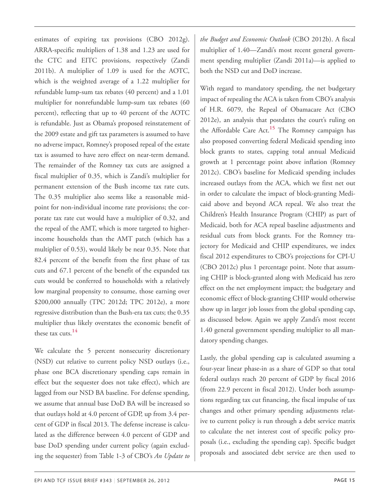<span id="page-14-1"></span>estimates of expiring tax provisions (CBO 2012g). ARRA-specific multipliers of 1.38 and 1.23 are used for the CTC and EITC provisions, respectively (Zandi 2011b). A multiplier of 1.09 is used for the AOTC, which is the weighted average of a 1.22 multiplier for refundable lump-sum tax rebates (40 percent) and a 1.01 multiplier for nonrefundable lump-sum tax rebates (60 percent), reflecting that up to 40 percent of the AOTC is refundable. Just as Obama's proposed reinstatement of the 2009 estate and gift tax parameters is assumed to have no adverse impact, Romney's proposed repeal of the estate tax is assumed to have zero effect on near-term demand. The remainder of the Romney tax cuts are assigned a fiscal multiplier of 0.35, which is Zandi's multiplier for permanent extension of the Bush income tax rate cuts. The 0.35 multiplier also seems like a reasonable midpoint for non-individual income rate provisions; the corporate tax rate cut would have a multiplier of 0.32, and the repeal of the AMT, which is more targeted to higherincome households than the AMT patch (which has a multiplier of 0.53), would likely be near 0.35. Note that 82.4 percent of the benefit from the first phase of tax cuts and 67.1 percent of the benefit of the expanded tax cuts would be conferred to households with a relatively low marginal propensity to consume, those earning over \$200,000 annually (TPC 2012d; TPC 2012e), a more regressive distribution than the Bush-era tax cuts; the 0.35 multiplier thus likely overstates the economic benefit of these tax cuts. **[14](#page-16-6)**

<span id="page-14-0"></span>We calculate the 5 percent nonsecurity discretionary (NSD) cut relative to current policy NSD outlays (i.e., phase one BCA discretionary spending caps remain in effect but the sequester does not take effect), which are lagged from our NSD BA baseline. For defense spending, we assume that annual base DoD BA will be increased so that outlays hold at 4.0 percent of GDP, up from 3.4 percent of GDP in fiscal 2013. The defense increase is calculated as the difference between 4.0 percent of GDP and base DoD spending under current policy (again excluding the sequester) from Table 1-3 of CBO's *An Update to* *the Budget and Economic Outlook* (CBO 2012b). A fiscal multiplier of 1.40—Zandi's most recent general government spending multiplier (Zandi 2011a)—is applied to both the NSD cut and DoD increase.

With regard to mandatory spending, the net budgetary impact of repealing the ACA is taken from CBO's analysis of H.R. 6079, the Repeal of Obamacare Act (CBO 2012e), an analysis that postdates the court's ruling on the Affordable Care Act. **[15](#page-16-7)** The Romney campaign has also proposed converting federal Medicaid spending into block grants to states, capping total annual Medicaid growth at 1 percentage point above inflation (Romney 2012c). CBO's baseline for Medicaid spending includes increased outlays from the ACA, which we first net out in order to calculate the impact of block-granting Medicaid above and beyond ACA repeal. We also treat the Children's Health Insurance Program (CHIP) as part of Medicaid, both for ACA repeal baseline adjustments and residual cuts from block grants. For the Romney trajectory for Medicaid and CHIP expenditures, we index fiscal 2012 expenditures to CBO's projections for CPI-U (CBO 2012c) plus 1 percentage point. Note that assuming CHIP is block-granted along with Medicaid has zero effect on the net employment impact; the budgetary and economic effect of block-granting CHIP would otherwise show up in larger job losses from the global spending cap, as discussed below. Again we apply Zandi's most recent 1.40 general government spending multiplier to all mandatory spending changes.

Lastly, the global spending cap is calculated assuming a four-year linear phase-in as a share of GDP so that total federal outlays reach 20 percent of GDP by fiscal 2016 (from 22.9 percent in fiscal 2012). Under both assumptions regarding tax cut financing, the fiscal impulse of tax changes and other primary spending adjustments relative to current policy is run through a debt service matrix to calculate the net interest cost of specific policy proposals (i.e., excluding the spending cap). Specific budget proposals and associated debt service are then used to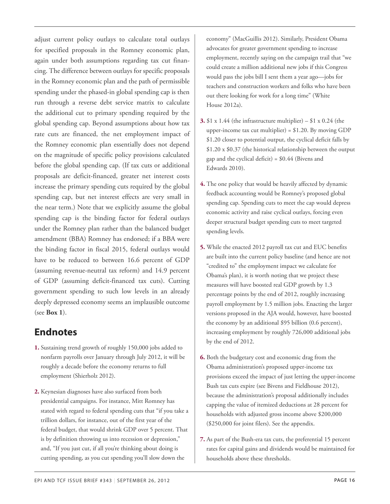<span id="page-15-3"></span><span id="page-15-2"></span>adjust current policy outlays to calculate total outlays for specified proposals in the Romney economic plan, again under both assumptions regarding tax cut financing. The difference between outlays for specific proposals in the Romney economic plan and the path of permissible spending under the phased-in global spending cap is then run through a reverse debt service matrix to calculate the additional cut to primary spending required by the global spending cap. Beyond assumptions about how tax rate cuts are financed, the net employment impact of the Romney economic plan essentially does not depend on the magnitude of specific policy provisions calculated before the global spending cap. (If tax cuts or additional proposals are deficit-financed, greater net interest costs increase the primary spending cuts required by the global spending cap, but net interest effects are very small in the near term.) Note that we explicitly assume the global spending cap is the binding factor for federal outlays under the Romney plan rather than the balanced budget amendment (BBA) Romney has endorsed; if a BBA were the binding factor in fiscal 2015, federal outlays would have to be reduced to between 16.6 percent of GDP (assuming revenue-neutral tax reform) and 14.9 percent of GDP (assuming deficit-financed tax cuts). Cutting government spending to such low levels in an already deeply depressed economy seems an implausible outcome (see **Box 1**).

## <span id="page-15-4"></span>**Endnotes**

- <span id="page-15-5"></span><span id="page-15-0"></span>**[1.](#page-1-0)** Sustaining trend growth of roughly 150,000 jobs added to nonfarm payrolls over January through July 2012, it will be roughly a decade before the economy returns to full employment (Shierholz 2012).
- <span id="page-15-6"></span><span id="page-15-1"></span>**[2.](#page-2-0)** Keynesian diagnoses have also surfaced from both presidential campaigns. For instance, Mitt Romney has stated with regard to federal spending cuts that "if you take a trillion dollars, for instance, out of the first year of the federal budget, that would shrink GDP over 5 percent. That is by definition throwing us into recession or depression," and, "If you just cut, if all you're thinking about doing is cutting spending, as you cut spending you'll slow down the

economy" (MacGuillis 2012). Similarly, President Obama advocates for greater government spending to increase employment, recently saying on the campaign trail that "we could create a million additional new jobs if this Congress would pass the jobs bill I sent them a year ago—jobs for teachers and construction workers and folks who have been out there looking for work for a long time" (White House 2012a).

- **[3.](#page-3-0)**  $$1 x 1.44$  (the infrastructure multiplier)  $$1 x 0.24$  (the upper-income tax cut multiplier) =  $$1.20$ . By moving GDP \$1.20 closer to potential output, the cyclical deficit falls by \$1.20 x \$0.37 (the historical relationship between the output gap and the cyclical deficit) = \$0.44 (Bivens and Edwards 2010).
- **[4.](#page-3-1)** The one policy that would be heavily affected by dynamic feedback accounting would be Romney's proposed global spending cap. Spending cuts to meet the cap would depress economic activity and raise cyclical outlays, forcing even deeper structural budget spending cuts to meet targeted spending levels.
- **[5.](#page-4-0)** While the enacted 2012 payroll tax cut and EUC benefits are built into the current policy baseline (and hence are not "credited to" the employment impact we calculate for Obama's plan), it is worth noting that we project these measures will have boosted real GDP growth by 1.3 percentage points by the end of 2012, roughly increasing payroll employment by 1.5 million jobs. Enacting the larger versions proposed in the AJA would, however, have boosted the economy by an additional \$95 billion (0.6 percent), increasing employment by roughly 726,000 additional jobs by the end of 2012.
- **[6.](#page-5-0)** Both the budgetary cost and economic drag from the Obama administration's proposed upper-income tax provisions exceed the impact of just letting the upper-income Bush tax cuts expire (see Bivens and Fieldhouse 2012), because the administration's proposal additionally includes capping the value of itemized deductions at 28 percent for households with adjusted gross income above \$200,000 (\$250,000 for joint filers). See the appendix.
- **[7.](#page-5-1)** As part of the Bush-era tax cuts, the preferential 15 percent rates for capital gains and dividends would be maintained for households above these thresholds.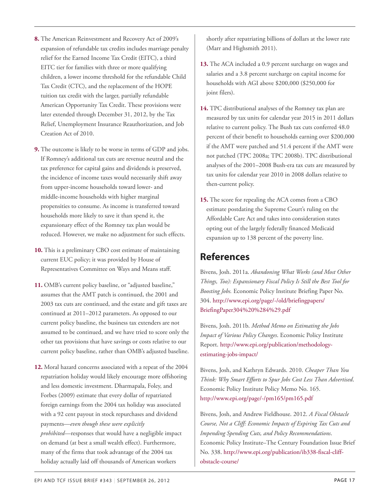- <span id="page-16-5"></span><span id="page-16-0"></span>**[8.](#page-5-2)** The American Reinvestment and Recovery Act of 2009's expansion of refundable tax credits includes marriage penalty relief for the Earned Income Tax Credit (EITC), a third EITC tier for families with three or more qualifying children, a lower income threshold for the refundable Child Tax Credit (CTC), and the replacement of the HOPE tuition tax credit with the larger, partially refundable American Opportunity Tax Credit. These provisions were later extended through December 31, 2012, by the Tax Relief, Unemployment Insurance Reauthorization, and Job Creation Act of 2010.
- <span id="page-16-7"></span><span id="page-16-6"></span><span id="page-16-1"></span>**[9.](#page-7-0)** The outcome is likely to be worse in terms of GDP and jobs. If Romney's additional tax cuts are revenue neutral and the tax preference for capital gains and dividends is preserved, the incidence of income taxes would necessarily shift away from upper-income households toward lower- and middle-income households with higher marginal propensities to consume. As income is transferred toward households more likely to save it than spend it, the expansionary effect of the Romney tax plan would be reduced. However, we make no adjustment for such effects.
- <span id="page-16-2"></span>**[10.](#page-12-0)** This is a preliminary CBO cost estimate of maintaining current EUC policy; it was provided by House of Representatives Committee on Ways and Means staff.
- <span id="page-16-3"></span>**[11.](#page-12-1)** OMB's current policy baseline, or "adjusted baseline," assumes that the AMT patch is continued, the 2001 and 2003 tax cuts are continued, and the estate and gift taxes are continued at 2011–2012 parameters. As opposed to our current policy baseline, the business tax extenders are not assumed to be continued, and we have tried to score only the other tax provisions that have savings or costs relative to our current policy baseline, rather than OMB's adjusted baseline.
- <span id="page-16-4"></span>**[12.](#page-13-0)** Moral hazard concerns associated with a repeat of the 2004 repatriation holiday would likely encourage more offshoring and less domestic investment. Dharmapala, Foley, and Forbes (2009) estimate that every dollar of repatriated foreign earnings from the 2004 tax holiday was associated with a 92 cent payout in stock repurchases and dividend payments—*even though these were explicitly prohibited*—responses that would have a negligible impact on demand (at best a small wealth effect). Furthermore, many of the firms that took advantage of the 2004 tax holiday actually laid off thousands of American workers

shortly after repatriating billions of dollars at the lower rate (Marr and Highsmith 2011).

- **[13.](#page-13-1)** The ACA included a 0.9 percent surcharge on wages and salaries and a 3.8 percent surcharge on capital income for households with AGI above \$200,000 (\$250,000 for joint filers).
- **[14.](#page-14-0)** TPC distributional analyses of the Romney tax plan are measured by tax units for calendar year 2015 in 2011 dollars relative to current policy. The Bush tax cuts conferred 48.0 percent of their benefit to households earning over \$200,000 if the AMT were patched and 51.4 percent if the AMT were not patched (TPC 2008a; TPC 2008b). TPC distributional analyses of the 2001–2008 Bush-era tax cuts are measured by tax units for calendar year 2010 in 2008 dollars relative to then-current policy.
- **[15.](#page-14-1)** The score for repealing the ACA comes from a CBO estimate postdating the Supreme Court's ruling on the Affordable Care Act and takes into consideration states opting out of the largely federally financed Medicaid expansion up to 138 percent of the poverty line.

## **References**

Bivens, Josh. 2011a. *Abandoning What Works (and Most Other Things, Too): Expansionary Fiscal Policy Is Still the Best Tool for Boosting Jobs.* Economic Policy Institute Briefing Paper No. 304. [http://www.epi.org/page/-/old/briefingpapers/](http://www.epi.org/page/-/old/briefingpapers/BriefingPaper304%20%284%29.pdf) [BriefingPaper304%20%284%29.pdf](http://www.epi.org/page/-/old/briefingpapers/BriefingPaper304%20%284%29.pdf)

Bivens, Josh. 2011b. *Method Memo on Estimating the Jobs Impact of Various Policy Changes*. Economic Policy Institute Report. [http://www.epi.org/publication/methodology](http://www.epi.org/publication/methodology-estimating-jobs-impact/)[estimating-jobs-impact/](http://www.epi.org/publication/methodology-estimating-jobs-impact/)

Bivens, Josh, and Kathryn Edwards. 2010. *Cheaper Than You Think: Why Smart Efforts to Spur Jobs Cost Less Than Advertised*. Economic Policy Institute Policy Memo No. 165. <http://www.epi.org/page/-/pm165/pm165.pdf>

Bivens, Josh, and Andrew Fieldhouse. 2012. *A Fiscal Obstacle Course, Not a Cliff: Economic Impacts of Expiring Tax Cuts and Impending Spending Cuts, and Policy Recommendations*. Economic Policy Institute–The Century Foundation Issue Brief No. 338. [http://www.epi.org/publication/ib338-fiscal-cliff](http://www.epi.org/publication/ib338-fiscal-cliff-obstacle-course/)[obstacle-course/](http://www.epi.org/publication/ib338-fiscal-cliff-obstacle-course/)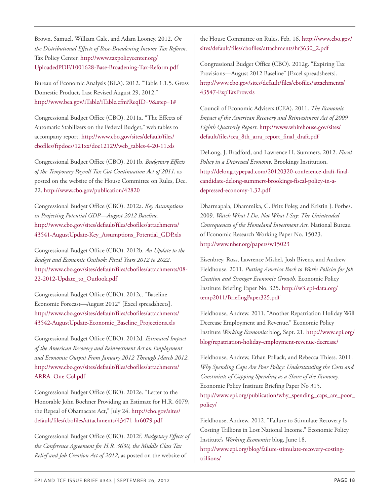Brown, Samuel, William Gale, and Adam Looney. 2012. *On the Distributional Effects of Base-Broadening Income Tax Reform*. Tax Policy Center. [http://www.taxpolicycenter.org/](http://www.taxpolicycenter.org/UploadedPDF/1001628-Base-Broadening-Tax-Reform.pdf) [UploadedPDF/1001628-Base-Broadening-Tax-Reform.pdf](http://www.taxpolicycenter.org/UploadedPDF/1001628-Base-Broadening-Tax-Reform.pdf)

Bureau of Economic Analysis (BEA). 2012. "Table 1.1.5. Gross Domestic Product, Last Revised August 29, 2012." [http://www.bea.gov/iTable/iTable.cfm?ReqID=9&step=1#](http://www.bea.gov/iTable/iTable.cfm?ReqID=9&step=1)

Congressional Budget Office (CBO). 2011a. "The Effects of Automatic Stabilizers on the Federal Budget," web tables to accompany report. [http://www.cbo.gov/sites/default/files/](http://www.cbo.gov/sites/default/files/cbofiles/ftpdocs/121xx/doc12129/web_tables-4-20-11.xls) [cbofiles/ftpdocs/121xx/doc12129/web\\_tables-4-20-11.xls](http://www.cbo.gov/sites/default/files/cbofiles/ftpdocs/121xx/doc12129/web_tables-4-20-11.xls)

Congressional Budget Office (CBO). 2011b. *Budgetary Effects of the Temporary Payroll Tax Cut Continuation Act of 2011*, as posted on the website of the House Committee on Rules, Dec. 22. <http://www.cbo.gov/publication/42820>

Congressional Budget Office (CBO). 2012a. *Key Assumptions in Projecting Potential GDP—August 2012 Baseline*. [http://www.cbo.gov/sites/default/files/cbofiles/attachments/](http://www.cbo.gov/sites/default/files/cbofiles/attachments/43541-AugustUpdate-Key_Assumptions_Potential_GDP.xls) [43541-AugustUpdate-Key\\_Assumptions\\_Potential\\_GDP.xls](http://www.cbo.gov/sites/default/files/cbofiles/attachments/43541-AugustUpdate-Key_Assumptions_Potential_GDP.xls)

Congressional Budget Office (CBO). 2012b. *An Update to the Budget and Economic Outlook: Fiscal Years 2012 to 2022*. [http://www.cbo.gov/sites/default/files/cbofiles/attachments/08-](http://www.cbo.gov/sites/default/files/cbofiles/attachments/08-22-2012-Update_to_Outlook.pdf) [22-2012-Update\\_to\\_Outlook.pdf](http://www.cbo.gov/sites/default/files/cbofiles/attachments/08-22-2012-Update_to_Outlook.pdf)

Congressional Budget Office (CBO). 2012c. "Baseline Economic Forecast—August 2012″ [Excel spreadsheets]. [http://www.cbo.gov/sites/default/files/cbofiles/attachments/](http://www.cbo.gov/sites/default/files/cbofiles/attachments/43542-AugustUpdate-Economic_Baseline_Projections.xls) [43542-AugustUpdate-Economic\\_Baseline\\_Projections.xls](http://www.cbo.gov/sites/default/files/cbofiles/attachments/43542-AugustUpdate-Economic_Baseline_Projections.xls)

Congressional Budget Office (CBO). 2012d. *Estimated Impact of the American Recovery and Reinvestment Act on Employment and Economic Output From January 2012 Through March 2012*. [http://www.cbo.gov/sites/default/files/cbofiles/attachments/](http://www.cbo.gov/sites/default/files/cbofiles/attachments/ARRA_One-Col.pdf) [ARRA\\_One-Col.pdf](http://www.cbo.gov/sites/default/files/cbofiles/attachments/ARRA_One-Col.pdf)

Congressional Budget Office (CBO). 2012e. "Letter to the Honorable John Boehner Providing an Estimate for H.R. 6079, the Repeal of Obamacare Act," July 24. [http://cbo.gov/sites/](http://cbo.gov/sites/default/files/cbofiles/attachments/43471-hr6079.pdf) [default/files/cbofiles/attachments/43471-hr6079.pdf](http://cbo.gov/sites/default/files/cbofiles/attachments/43471-hr6079.pdf)

Congressional Budget Office (CBO). 2012f. *Budgetary Effects of the Conference Agreement for H.R. 3630, the Middle Class Tax Relief and Job Creation Act of 2012*, as posted on the website of

the House Committee on Rules, Feb. 16. [http://www.cbo.gov/](http://www.cbo.gov/sites/default/files/cbofiles/attachments/hr3630_2.pdf) [sites/default/files/cbofiles/attachments/hr3630\\_2.pdf](http://www.cbo.gov/sites/default/files/cbofiles/attachments/hr3630_2.pdf)

Congressional Budget Office (CBO). 2012g. "Expiring Tax Provisions—August 2012 Baseline" [Excel spreadsheets]. [http://www.cbo.gov/sites/default/files/cbofiles/attachments/](http://www.cbo.gov/sites/default/files/cbofiles/attachments/43547-ExpTaxProv.xls) [43547-ExpTaxProv.xls](http://www.cbo.gov/sites/default/files/cbofiles/attachments/43547-ExpTaxProv.xls)

Council of Economic Advisers (CEA). 2011. *The Economic Impact of the American Recovery and Reinvestment Act of 2009 Eighth Quarterly Report*. [http://www.whitehouse.gov/sites/](http://www.whitehouse.gov/sites/default/files/cea_8th_arra_report_final_draft.pdf) [default/files/cea\\_8th\\_arra\\_report\\_final\\_draft.pdf](http://www.whitehouse.gov/sites/default/files/cea_8th_arra_report_final_draft.pdf)

DeLong, J. Bradford, and Lawrence H. Summers. 2012. *Fiscal Policy in a Depressed Economy*. Brookings Institution. [http://delong.typepad.com/20120320-conference-draft-final](http://delong.typepad.com/20120320-conference-draft-final-candidate-delong-summers-brookings-fiscal-policy-in-a-depressed-economy-1.32.pdf)[candidate-delong-summers-brookings-fiscal-policy-in-a](http://delong.typepad.com/20120320-conference-draft-final-candidate-delong-summers-brookings-fiscal-policy-in-a-depressed-economy-1.32.pdf)[depressed-economy-1.32.pdf](http://delong.typepad.com/20120320-conference-draft-final-candidate-delong-summers-brookings-fiscal-policy-in-a-depressed-economy-1.32.pdf)

Dharmapala, Dhammika, C. Fritz Foley, and Kristin J. Forbes. 2009. *Watch What I Do, Not What I Say: The Unintended Consequences of the Homeland Investment Act*. National Bureau of Economic Research Working Paper No. 15023. <http://www.nber.org/papers/w15023>

Eisenbrey, Ross, Lawrence Mishel, Josh Bivens, and Andrew Fieldhouse. 2011. *Putting America Back to Work: Policies for Job Creation and Stronger Economic Growth*. Economic Policy Institute Briefing Paper No. 325. [http://w3.epi-data.org/](http://w3.epi-data.org/temp2011/BriefingPaper325.pdf) [temp2011/BriefingPaper325.pdf](http://w3.epi-data.org/temp2011/BriefingPaper325.pdf)

Fieldhouse, Andrew. 2011. "Another Repatriation Holiday Will Decrease Employment and Revenue." Economic Policy Institute *Working Economics* blog, Sept. 21. [http://www.epi.org/](http://www.epi.org/blog/repatriation-holiday-employment-revenue-decrease/) [blog/repatriation-holiday-employment-revenue-decrease/](http://www.epi.org/blog/repatriation-holiday-employment-revenue-decrease/)

Fieldhouse, Andrew, Ethan Pollack, and Rebecca Thiess. 2011. *Why Spending Caps Are Poor Policy: Understanding the Costs and Constraints of Capping Spending as a Share of the Economy*. Economic Policy Institute Briefing Paper No 315. [http://www.epi.org/publication/why\\_spending\\_caps\\_are\\_poor\\_](http://www.epi.org/publication/why_spending_caps_are_poor_policy/) [policy/](http://www.epi.org/publication/why_spending_caps_are_poor_policy/)

Fieldhouse, Andrew. 2012. "Failure to Stimulate Recovery Is Costing Trillions in Lost National Income." Economic Policy Institute's *Working Economics* blog, June 18. [http://www.epi.org/blog/failure-stimulate-recovery-costing](http://www.epi.org/blog/failure-stimulate-recovery-costing-trillions/)[trillions/](http://www.epi.org/blog/failure-stimulate-recovery-costing-trillions/)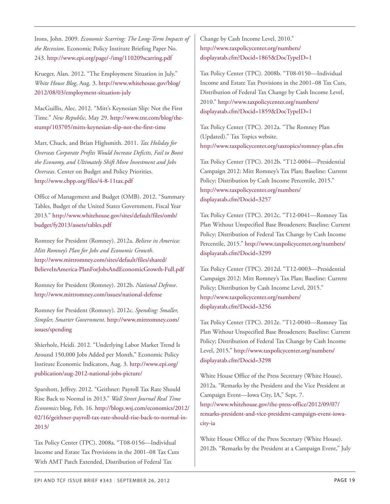Irons, John. 2009. *Economic Scarring: The Long-Term Impacts of the Recession*. Economic Policy Institute Briefing Paper No. 243. <http://www.epi.org/page/-/img/110209scarring.pdf>

Krueger, Alan. 2012. "The Employment Situation in July." *White House Blog*, Aug. 3. [http://www.whitehouse.gov/blog/](http://www.whitehouse.gov/blog/2012/08/03/employment-situation-july) [2012/08/03/employment-situation-july](http://www.whitehouse.gov/blog/2012/08/03/employment-situation-july)

MacGuillis, Alec. 2012. "Mitt's Keynesian Slip: Not the First Time." *New Republic,* May 29. [http://www.tnr.com/blog/the](http://www.tnr.com/blog/the-stump/103705/mitts-keynesian-slip-not-the-first-time)[stump/103705/mitts-keynesian-slip-not-the-first-time](http://www.tnr.com/blog/the-stump/103705/mitts-keynesian-slip-not-the-first-time)

Marr, Chuck, and Brian Highsmith. 2011. *Tax Holiday for Overseas Corporate Profits Would Increase Deficits, Fail to Boost the Economy, and Ultimately Shift More Investment and Jobs Overseas*. Center on Budget and Policy Priorities. <http://www.cbpp.org/files/4-8-11tax.pdf>

Office of Management and Budget (OMB). 2012. "Summary Tables, Budget of the United States Government, Fiscal Year 2013." [http://www.whitehouse.gov/sites/default/files/omb/](http://www.whitehouse.gov/sites/default/files/omb/budget/fy2013/assets/tables.pdf) [budget/fy2013/assets/tables.pdf](http://www.whitehouse.gov/sites/default/files/omb/budget/fy2013/assets/tables.pdf)

Romney for President (Romney). 2012a. *Believe in America: Mitt Romney's Plan for Jobs and Economic Growth*. [http://www.mittromney.com/sites/default/files/shared/](http://www.mittromney.com/sites/default/files/shared/BelieveInAmerica-PlanForJobsAndEconomicGrowth-Full.pdf) [BelieveInAmerica-PlanForJobsAndEconomicGrowth-Full.pdf](http://www.mittromney.com/sites/default/files/shared/BelieveInAmerica-PlanForJobsAndEconomicGrowth-Full.pdf)

Romney for President (Romney). 2012b. *National Defense*. <http://www.mittromney.com/issues/national-defense>

Romney for President (Romney). 2012c. *Spending: Smaller, Simpler, Smarter Government*. [http://www.mittromney.com/](http://www.mittromney.com/issues/spending) [issues/spending](http://www.mittromney.com/issues/spending)

Shierholz, Heidi. 2012. "Underlying Labor Market Trend Is Around 150,000 Jobs Added per Month." Economic Policy Institute Economic Indicators, Aug. 3. [http://www.epi.org/](http://www.epi.org/publication/aug-2012-national-jobs-picture/) [publication/aug-2012-national-jobs-picture/](http://www.epi.org/publication/aug-2012-national-jobs-picture/)

Sparshott, Jeffrey. 2012. "Geithner: Payroll Tax Rate Should Rise Back to Normal in 2013." *Wall Street Journal Real Time Economics* blog, Feb. 16. [http://blogs.wsj.com/economics/2012/](http://blogs.wsj.com/economics/2012/02/16/geithner-payroll-tax-rate-should-rise-back-to-normal-in-2013/) [02/16/geithner-payroll-tax-rate-should-rise-back-to-normal-in-](http://blogs.wsj.com/economics/2012/02/16/geithner-payroll-tax-rate-should-rise-back-to-normal-in-2013/)[2013/](http://blogs.wsj.com/economics/2012/02/16/geithner-payroll-tax-rate-should-rise-back-to-normal-in-2013/)

Tax Policy Center (TPC). 2008a. "T08-0156—Individual Income and Estate Tax Provisions in the 2001–08 Tax Cuts With AMT Patch Extended, Distribution of Federal Tax

Change by Cash Income Level, 2010." [http://www.taxpolicycenter.org/numbers/](http://www.taxpolicycenter.org/numbers/displayatab.cfm?Docid=1865&DocTypeID=1) [displayatab.cfm?Docid=1865&DocTypeID=1](http://www.taxpolicycenter.org/numbers/displayatab.cfm?Docid=1865&DocTypeID=1)

Tax Policy Center (TPC). 2008b. "T08-0150—Individual Income and Estate Tax Provisions in the 2001–08 Tax Cuts, Distribution of Federal Tax Change by Cash Income Level, 2010." [http://www.taxpolicycenter.org/numbers/](http://www.taxpolicycenter.org/numbers/displayatab.cfm?Docid=1859&DocTypeID=1) [displayatab.cfm?Docid=1859&DocTypeID=1](http://www.taxpolicycenter.org/numbers/displayatab.cfm?Docid=1859&DocTypeID=1)

Tax Policy Center (TPC). 2012a. "The Romney Plan (Updated)." Tax Topics website. <http://www.taxpolicycenter.org/taxtopics/romney-plan.cfm>

Tax Policy Center (TPC). 2012b. "T12-0004—Presidential Campaign 2012: Mitt Romney's Tax Plan; Baseline: Current Policy; Distribution by Cash Income Percentile, 2015." [http://www.taxpolicycenter.org/numbers/](http://www.taxpolicycenter.org/numbers/displayatab.cfm?Docid=3257) [displayatab.cfm?Docid=3257](http://www.taxpolicycenter.org/numbers/displayatab.cfm?Docid=3257)

Tax Policy Center (TPC). 2012c. "T12-0041—Romney Tax Plan Without Unspecified Base Broadeners; Baseline: Current Policy; Distribution of Federal Tax Change by Cash Income Percentile, 2015." [http://www.taxpolicycenter.org/numbers/](http://www.taxpolicycenter.org/numbers/displayatab.cfm?Docid=3299) [displayatab.cfm?Docid=3299](http://www.taxpolicycenter.org/numbers/displayatab.cfm?Docid=3299)

Tax Policy Center (TPC). 2012d. "T12-0003—Presidential Campaign 2012: Mitt Romney's Tax Plan; Baseline: Current Policy; Distribution by Cash Income Level, 2015." [http://www.taxpolicycenter.org/numbers/](http://www.taxpolicycenter.org/numbers/displayatab.cfm?Docid=3256) [displayatab.cfm?Docid=3256](http://www.taxpolicycenter.org/numbers/displayatab.cfm?Docid=3256)

Tax Policy Center (TPC). 2012e. "T12-0040—Romney Tax Plan Without Unspecified Base Broadeners; Baseline: Current Policy; Distribution of Federal Tax Change by Cash Income Level, 2015." [http://www.taxpolicycenter.org/numbers/](http://www.taxpolicycenter.org/numbers/displayatab.cfm?Docid=3298) [displayatab.cfm?Docid=3298](http://www.taxpolicycenter.org/numbers/displayatab.cfm?Docid=3298)

White House Office of the Press Secretary (White House). 2012a. "Remarks by the President and the Vice President at Campaign Event—Iowa City, IA," Sept. 7. [http://www.whitehouse.gov/the-press-office/2012/09/07/](http://www.whitehouse.gov/the-press-office/2012/09/07/remarks-president-and-vice-president-campaign-event-iowa-city-ia) [remarks-president-and-vice-president-campaign-event-iowa](http://www.whitehouse.gov/the-press-office/2012/09/07/remarks-president-and-vice-president-campaign-event-iowa-city-ia)[city-ia](http://www.whitehouse.gov/the-press-office/2012/09/07/remarks-president-and-vice-president-campaign-event-iowa-city-ia)

White House Office of the Press Secretary (White House). 2012b. "Remarks by the President at a Campaign Event," July